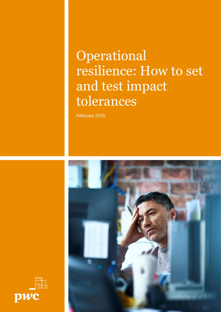# Operational resilience: How to set and test impact tolerances

February 2020



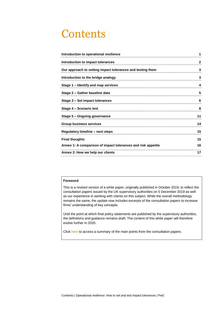# **Contents**

| Introduction to operational resilience                       | 1            |
|--------------------------------------------------------------|--------------|
| Introduction to impact tolerances                            | $\mathbf{2}$ |
| Our approach to setting impact tolerances and testing them   | 3            |
| Introduction to the bridge analogy                           | 3            |
| Stage 1 - Identify and map services                          | 4            |
| Stage 2 - Gather baseline data                               | 5            |
| Stage 3 - Set impact tolerances                              | 6            |
| Stage 4 – Scenario test                                      | 8            |
| Stage 5 - Ongoing governance                                 | 11           |
| <b>Group business services</b>                               | 14           |
| Regulatory timeline - next steps                             | 15           |
| <b>Final thoughts</b>                                        | 15           |
| Annex 1: A comparison of impact tolerances and risk appetite | 16           |
| Annex 2: How we help our clients                             | 17           |
|                                                              |              |

## **Foreword**

This is a revised version of a white paper, originally published in October 2019, to reflect the consultation papers issued by the UK supervisory authorities on 5 December 2019 as well as our experience in working with clients on this subject. While the overall methodology remains the same, the update now includes excerpts of the consultation papers to increase firms' understanding of key concepts.

Until the point at which final policy statements are published by the supervisory authorities, the definitions and guidance remains draft. The content of this white paper will therefore evolve further in 2020.

Clic[k here](https://www.pwc.co.uk/industries/financial-services/regulation/understanding-regulatory-developments/uk-supervisory-authorities-reveal-more-on-how-firms-should-build-their-operational-resilience.html) to access a summary of the main points from the consultation papers.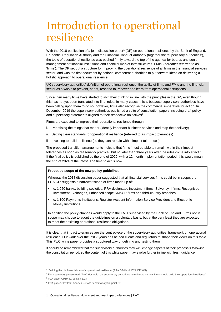# <span id="page-2-0"></span>Introduction to operational resilience

With the 2018 publication of a joint [discussion paper](https://www.bankofengland.co.uk/-/media/boe/files/prudential-regulation/discussion-paper/2018/dp118.pdf?la=en&hash=4238F3B14D839EBE6BEFBD6B5E5634FB95197D8A)<sup>1</sup> (DP) on operational resilience by the Bank of England, Prudential Regulation Authority and the Financial Conduct Authority (together the 'supervisory authorities'), the topic of operational resilience was pushed firmly toward the top of the agenda for boards and senior management of financial institutions and financial market infrastructures, FMIs, (hereafter referred to as 'firms'). The DP set out a structure for improving the operational resilience of all firms in the financial services sector, and was the first document by national competent authorities to put forward ideas on delivering a holistic approach to operational resilience.

UK supervisory authorities' definition of operational resilience: the ability of firms and FMIs and the financial sector as a whole to prevent, adapt, respond to, recover and learn from operational disruptions.

Since then many firms have started to shift their thinking in line with the principles in the DP, even though this has not yet been translated into final rules. In many cases, this is because supervisory authorities have been calling upon them to do so; however, firms also recognise the commercial imperative for action. In December 2019 the supervisory authorities published a suite of consultation papers including draft policy and supervisory statements aligned to their respective objectives<sup>2</sup>.

Firms are expected to improve their operational resilience through:

- i. Prioritising the things that matter (identify important business services and map their delivery)
- ii. Setting clear standards for operational resilience (referred to as impact tolerances)
- iii. Investing to build resilience (so they can remain within impact tolerances).

The proposed transition arrangements indicate that firms 'must be able to remain within their impact tolerances as soon as reasonably practical, but no later than three years after the rules come into effect'<sup>3</sup> . If the final policy is published by the end of 2020, with a 12 month implementation period, this would mean the end of 2024 at the latest. The time to act is now.

#### **Proposed scope of the new policy guidelines**

Whereas the 2018 discussion paper suggested that all financial services firms could be in scope, the FCA CP<sup>4</sup> suggests a narrower scope of firms made up of:

- c. 1,050 banks, building societies, PRA designated investment firms, Solvency II firms, Recognised Investment Exchanges, Enhanced scope SM&CR firms and third-country branches
- c. 1,100 Payments Institutions, Register Account Information Service Providers and Electronic Money Institutions.

In addition the policy changes would apply to the FMIs supervised by the Bank of England. Firms not in scope may choose to adopt the guidelines on a voluntary basis; but at the very least they are expected to meet their existing operational resilience obligations.

It is clear that impact tolerances are the centrepiece of the supervisory authorities' framework on operational resilience. Our work over the last 7 years has helped clients and regulators to shape their views on this topic. This PwC white paper provides a structured way of defining and testing them.

It should be remembered that the supervisory authorities may well change aspects of their proposals following the consultation period, so the content of this white paper may evolve further in line with fresh guidance.

<sup>&</sup>lt;sup>1</sup> 'Building the UK financial sector's operational resilience' (PRA DP01/18; FCA DP18/4)

<sup>&</sup>lt;sup>2</sup> For a summary please read: ['PwC Hot topic:](https://www.pwc.co.uk/industries/financial-services/regulation/understanding-regulatory-developments/uk-supervisory-authorities-reveal-more-on-how-firms-should-build-their-operational-resilience.html) UK supervisory authorities reveal more on how firms should build their operational resilience'

<sup>3</sup> FCA paper CP19/32, section 5.23

<sup>4</sup> FCA paper CP19/32, Annex 2 – Cost Benefit Analysis, point 27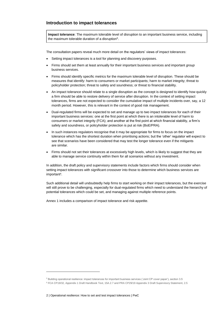### <span id="page-3-0"></span>**Introduction to impact tolerances**

**Impact tolerance**: The maximum tolerable level of disruption to an important business service, including the maximum tolerable duration of a disruption<sup>5</sup>.

The consultation papers reveal much more detail on the regulators' views of impact tolerances:

- Setting impact tolerances is a tool for planning and discovery purposes.
- Firms should set them at least annually for their important business services and important *group* business services.
- Firms should identify specific metrics for the maximum tolerable level of disruption. These should be measures that identify: harm to consumers or market participants; harm to market integrity; threat to policyholder protection; threat to safety and soundness; or threat to financial stability.
- An impact tolerance should relate to a single disruption as the concept is designed to identify how quickly a firm should be able to restore delivery of service after disruption. In the context of setting impact tolerances, firms are not expected to consider the cumulative impact of multiple incidents over, say, a 12 month period. However, this is relevant in the context of good risk management.
- Dual-regulated firms will be expected to set and manage up to two impact tolerances for each of their important business services: one at the first point at which there is an intolerable level of harm to consumers or market integrity (FCA); and another at the first point at which financial stability, a firm's safety and soundness, or policyholder protection is put at risk (BoE/PRA).
- In such instances regulators recognise that it may be appropriate for firms to focus on the impact tolerance which has the shortest duration when prioritising actions; but the 'other' regulator will expect to see that scenarios have been considered that may test the longer tolerance even if the mitigants are similar.
- Firms should not set their tolerances at excessively high levels, which is likely to suggest that they are able to manage service continuity within them for all scenarios without any investment.

In addition, the draft policy and supervisory statements include factors which firms should consider when setting impact tolerances with significant crossover into those to determine which business services are important<sup>6</sup>.

Such additional detail will undoubtedly help firms to start working on their impact tolerances, but the exercise will still prove to be challenging, especially for dual-regulated firms which need to understand the hierarchy of potential tolerances which could be set, and managing against multiple reference points.

Annex 1 includes a comparison of impact tolerance and risk appetite.

<sup>5</sup> Building operational resilience: impact tolerances for important business services ('Joint CP cover paper'), section 3.5

<sup>6</sup> FCA CP19/32, Appendix 1 Draft Handbook Text, 15A.2.7 and PRA CP29/19 Appendix 3 Draft Supervisory Statement, 2.5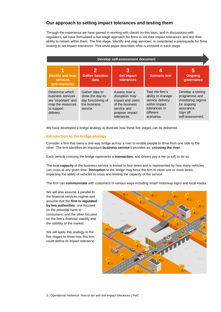# <span id="page-4-0"></span>**Our approach to setting impact tolerances and testing them**

Through the experience we have gained in working with clients on this topic, and in discussions with regulators, we have formulated a five stage approach for firms to set their impact tolerances and test their ability to remain within them. The first stage, 'identify and map services', is considered a prerequisite for firms looking to set impact tolerances. This white paper describes what is involved in each stage.

| Develop self-assessment document                                                                            |                                                                                      |                                                                                                                       |                                                                                                                       |                                                                                                                      |  |
|-------------------------------------------------------------------------------------------------------------|--------------------------------------------------------------------------------------|-----------------------------------------------------------------------------------------------------------------------|-----------------------------------------------------------------------------------------------------------------------|----------------------------------------------------------------------------------------------------------------------|--|
| <b>Identify and map</b><br><b>services</b><br>(pre-requisite)                                               | <b>Gather baseline</b><br>data                                                       | <b>Set impact</b><br>tolerances                                                                                       | <b>Scenario test</b>                                                                                                  | 5<br><b>Ongoing</b><br>governance                                                                                    |  |
| Determine which<br>business services<br>are 'important' and<br>map the resources<br>to support<br>delivery. | Gather data to<br>show the day-to-<br>day functioning of<br>the business<br>service. | Assess how a<br>disruption may<br>impact end users<br>of the business<br>service and<br>propose impact<br>tolerances. | Test the firm's<br>ability to manage<br>service delivery<br>within impact<br>tolerances in<br>different<br>scenarios. | Develop a testing<br>programme and<br>monitoring regime<br>for ongoing<br>assurance.<br>Sign off<br>self-assessment. |  |

We have developed a bridge analogy to illustrate how these five stages can be delivered.

#### <span id="page-4-1"></span>**Introduction to the bridge analogy**

Consider a firm that owns a one-way bridge across a river to enable people to drive from one side to the other. The firm identifies an important **business service** it provides as: **crossing the river**.

Each vehicle crossing the bridge represents a **transaction,** and drivers pay a fee (a toll) to do so.

The total **capacity** of the business service is limited to four lanes and is represented by how many vehicles can cross at any given time. **Disruption** to the bridge may force the firm to close one or more lanes, impacting the ability of vehicles to cross and limiting the capacity of the service.

The firm can **communicate** with customers in various ways including smart motorway signs and local media.

We will also assume a parallel to the financial services regime and assume that the **firm is regulated by two authorities**: one focused on the potential harm to consumers; and the other focused on the firm's financial viability and the stability of the market.

We will apply this analogy to the five stages to show how this firm could define its impact tolerance.

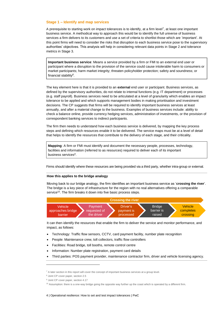#### <span id="page-5-0"></span>**Stage 1 – Identify and map services**

A prerequisite to starting work on impact tolerances is to identify, at a firm level<sup>7</sup>, at least one important business service. A methodical way to approach this would be to identify the full universe of business services a firm delivers to its customers and use a set of criteria to shortlist those which are 'important'. At this point firms will need to consider the risks that disruption to each business service pose to the supervisory authorities' objectives. This analysis will help in considering relevant data points in Stage 2 and tolerance metrics in Stage 3.

**Important business service**: Means a service provided by a firm or FMI to an external end user or participant where a disruption to the provision of the service could cause intolerable harm to consumers or market participants; harm market integrity; threaten policyholder protection; safety and soundness; or financial stability*<sup>8</sup>* .

The key element here is that it is provided to an **external** end user or participant. Business services, as defined by the supervisory authorities, do not relate to internal functions (e.g. IT department) or processes (e.g. staff payroll). Business services need to be articulated at a level of granularity which enables an impact tolerance to be applied and which supports management bodies in making prioritisation and investment decisions. The CP suggests that firms will be required to identify important business services at least annually, and after a material change to the business. Examples of business services include: ability to check a balance online, provide currency hedging services, administration of investments, or the provision of correspondent banking services to indirect participants.

The firm then needs to understand how each business service is delivered, by mapping the key process steps and defining which resources enable it to be delivered. The service maps must be at a level of detail that helps to identify the resources that contribute to the delivery of each stage, and their criticality.

**Mapping**: A firm or FMI must identify and document the necessary people, processes, technology, facilities and information (referred to as resources) required to deliver each of its important business services*<sup>9</sup>* .

Firms should identify where these resources are being provided via a third party, whether intra-group or external.

#### **How this applies to the bridge analogy**

Moving back to our bridge analogy, the firm identifies an important business service as '**crossing the river**'. The bridge is a key piece of infrastructure for the region with no real alternatives offering a comparable service<sup>10</sup>. The firm breaks it down into five basic process steps.



It can then identify the resources that enable the firm to deliver the service and monitor performance, and impact, as follows:

- Technology: Traffic flow sensors, CCTV, card payment facility, number plate recognition
- People: Maintenance crew, toll collectors, traffic flow controllers
- Facilities: Road bridge, toll booths, remote control centre
- Information: Number plate registration, payment card details
- Third parties: POS payment provider, maintenance contractor firm, driver and vehicle licensing agency.

-

 $7$  A later section in this report will cover the concept of important business services at a group level.

<sup>8</sup> Joint CP cover paper, section 2.5

<sup>&</sup>lt;sup>9</sup> Joint CP cover paper, section 4.17

 $10$  Assumption: there is a one-way bridge going the opposite way further up the coast which is operated by a different firm.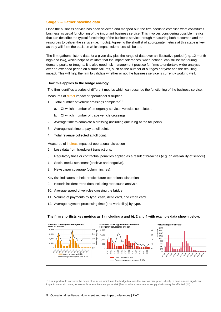#### <span id="page-6-0"></span>**Stage 2 – Gather baseline data**

Once the business service has been selected and mapped out, the firm needs to establish what constitutes business as usual functioning of the important business service. This involves considering possible metrics that can describe the typical functioning of the business service through measuring both outcomes and the resources to deliver the service (i.e. inputs). Agreeing the shortlist of appropriate metrics at this stage is key as they will form the basis on which impact tolerances will be set.

The firm gathers historic data for a given day plus the range of data over an illustrative period (e.g. 12 month high and low), which helps to validate that the impact tolerances, when defined, can still be met during demand peaks or troughs. It is also good risk management practice for firms to undertake wider analysis over an extended period on historic failures, such as the number of outages per year and the resulting impact. This will help the firm to validate whether or not the business service is currently working well.

#### **How this applies to the bridge analogy**

The firm identifies a series of different metrics which can describe the functioning of the business service:

Measures of direct impact of operational disruption

- 1. Total number of vehicle crossings completed<sup>11</sup>.
	- a. Of which, number of emergency services vehicles completed.
	- b. Of which, number of trade vehicle crossings.
- 2. Average time to complete a crossing (including queueing at the toll point).
- 3. Average wait time to pay at toll point.
- 4. Total revenue collected at toll point.

Measures of indirect impact of operational disruption

- 5. Loss data from fraudulent transactions.
- 6. Regulatory fines or contractual penalties applied as a result of breaches (e.g. on availability of service).
- 7. Social media sentiment (positive and negative).
- 8. Newspaper coverage (column inches).

Key risk indicators to help predict future operational disruption

- 9. Historic incident trend data including root cause analysis.
- 10. Average speed of vehicles crossing the bridge.
- 11. Volume of payments by type: cash, debit card, and credit card.
- 12. Average payment processing time (and variability) by type.

#### **The firm shortlists key metrics as 1 (including a and b), 2 and 4 with example data shown below.**



<sup>&</sup>lt;sup>11</sup> It is important to consider the types of vehicles which use the bridge to cross the river as disruption is likely to have a more significant impact on certain users, for example where lives are put at risk (1a), or where commercial supply chains may be affected (1b)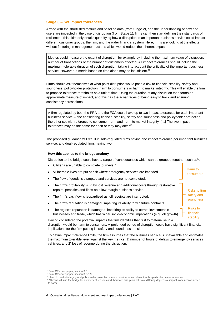#### <span id="page-7-0"></span>**Stage 3 – Set impact tolerances**

Armed with the shortlisted metrics and baseline data (from Stage 2), and the understanding of how end users are impacted in the case of disruption (from Stage 1), firms can then start defining their standards of resilience. This ultimately entails quantifying how a disruption to an important business service could impact different customer groups, the firm, and the wider financial system. Here, firms are looking at the effects without factoring in management actions which would reduce the inherent exposure.

Metrics could measure the extent of disruption, for example by including the maximum value of disruption, number of transactions or the number of customers affected. All impact tolerances should include the maximum tolerable duration of such disruption, taking into account the criticality of the important business service. However, a metric based on time alone may be insufficient.<sup>12</sup>

Firms should ask themselves at what point disruption would pose a risk to financial stability, safety and soundness, policyholder protection, harm to consumers or harm to market integrity. This will enable the firm to propose tolerance thresholds as a unit of time. Using the duration of any disruption then forms an approximate measure of impact, and this has the advantages of being easy to track and ensuring consistency across firms.

A firm regulated by both the PRA and the FCA could have up to two impact tolerances for each important business service – one considering financial stability, safety and soundness and policyholder protection, the other set with reference to consumer harm and harm to market integrity. […] The two impact tolerances may be the same for each or they may differ<sup>13</sup>.

The proposed guidance will result in solo-regulated firms having one impact tolerance per important business service, and dual-regulated firms having two.

#### **How this applies to the bridge analogy**

Disruption to the bridge could have a range of consequences which can be grouped together such as<sup>14</sup>:

Harm to consumers

Risks to firm safety and soundness

Risks to financial

- Citizens are unable to complete journeys<sup>15</sup> • Vulnerable lives are put at risk where emergency services are impeded.
- The flow of goods is disrupted and services are not completed.
- The firm's profitability is hit by lost revenue and additional costs through restorative repairs, penalties and fines on a low-margin business service.
- The firm's cashflow is jeopardised as toll receipts are interrupted.
- The firm's reputation is damaged, impairing its ability to win future contracts.
- The region's reputation is damaged, impairing its ability to attract investment in businesses and trade, which has wider socio-economic implications (e.g. job growth).

Having considered the potential impacts the firm identifies that first to materialise in a disruption would be harm to consumers. A prolonged period of disruption could have significant financial implications for the firm putting its safety and soundness at risk. stability

To define impact tolerance limits, the firm assumes that the business service is unavailable and estimates the maximum tolerable level against the key metrics: 1) number of hours of delays to emergency services vehicles; and 2) loss of revenue during the disruption.

<sup>&</sup>lt;sup>12</sup> Joint CP cover paper, section 3.3

<sup>13</sup> Joint CP cover paper, section 3.8-3.9

<sup>14</sup> Harm to market integrity and policyholder protection are not considered as relevant to this particular business service

<sup>&</sup>lt;sup>15</sup> Citizens will use the bridge for a variety of reasons and therefore disruption will have differing degrees of impact from inconvenience to harm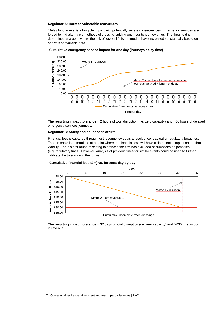#### **Regulator A: Harm to vulnerable consumers**

'Delay to journeys' is a tangible impact with potentially severe consequences. Emergency services are forced to find alternative methods of crossing, adding one hour to journey times. The threshold is determined at a point where the risk of loss of life is deemed to have increased substantially based on analysis of available data.

#### **Cumulative emergency service impact for one day (journeys delay time)**



**The resulting impact tolerance =** 2 hours of total disruption (i.e. zero capacity) **and** >50 hours of delayed emergency services journeys.

#### **Regulator B: Safety and soundness of firm**

Financial loss is captured through lost revenue levied as a result of contractual or regulatory breaches. The threshold is determined at a point where the financial loss will have a detrimental impact on the firm's viability. For this first round of setting tolerances the firm has excluded assumptions on penalties (e.g. regulatory fines). However, analysis of previous fines for similar events could be used to further calibrate the tolerance in the future.



**Cumulative financial loss (£m) vs. forecast day-by-day**

**The resulting impact tolerance =** 32 days of total disruption (i.e. zero capacity) **and** >£30m reduction in revenue.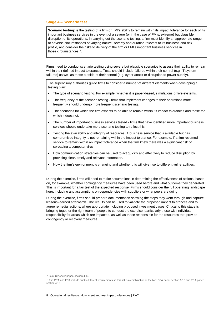#### <span id="page-9-0"></span>**Stage 4 – Scenario test**

**Scenario testing**: is the testing of a firm or FMI's ability to remain within its impact tolerance for each of its important business services in the event of a severe (or in the case of FMIs, extreme) but plausible disruption of its operations. In carrying out the scenario testing, a firm must identify an appropriate range of adverse circumstances of varying nature, severity and duration relevant to its business and risk profile, and consider the risks to delivery of the firm or FMI's important business services in those circumstances<sup>16</sup>.

Firms need to conduct scenario testing using severe but plausible scenarios to assess their ability to remain within their defined impact tolerances. Tests should include failures within their control (e.g. IT system failures) as well as those outside of their control (e.g. cyber attack or disruption to power supply).

The supervisory authorities guide firms to consider a number of different elements when developing a testing  $plan<sup>17</sup>$ :

- The type of scenario testing. For example, whether it is paper-based, simulations or live-systems.
- The frequency of the scenario testing firms that implement changes to their operations more frequently should undergo more frequent scenario testing.
- The scenarios for which the firm expects to be able to remain within its impact tolerances and those for which it does not.
- The number of important business services tested firms that have identified more important business services should undertake more scenario testing to reflect this.
- Testing the availability and integrity of resources. A business service that is available but has compromised integrity is not remaining within the impact tolerance. For example, if a firm resumed service to remain within an impact tolerance when the firm knew there was a significant risk of spreading a computer virus.
- How communication strategies can be used to act quickly and effectively to reduce disruption by providing clear, timely and relevant information.
- How the firm's environment is changing and whether this will give rise to different vulnerabilities.

During the exercise, firms will need to make assumptions in determining the effectiveness of actions, based on, for example, whether contingency measures have been used before and what outcome they generated. This is important for a fair test of the expected response. Firms should consider the full operating landscape here, including any assumptions on dependencies with suppliers or what peers are doing.

During the exercise, firms should prepare documentation showing the steps they went through and capture lessons-learned afterwards. The results can be used to validate the proposed impact tolerances and to agree remedial actions, where appropriate including proposed investment cases. Critical to this stage is bringing together the right team of people to conduct the exercise, particularly those with individual responsibility for areas which are impacted, as well as those responsible for the resources that provide contingency or recovery measures.

<sup>16</sup> Joint CP cover paper, section 4.14

<sup>&</sup>lt;sup>17</sup> The PRA and FCA include subtly different requirements so this list is a combination of the two: FCA paper section 6.16 and PRA paper section 4.19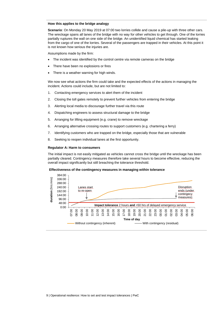#### **How this applies to the bridge analogy**

**Scenario**: On Monday 20 May 2019 at 07:00 two lorries collide and cause a pile-up with three other cars. The wreckage spans all lanes of the bridge with no way for other vehicles to get through. One of the lorries partially ruptures the wall on one side of the bridge. An unidentified liquid chemical has started leaking from the cargo of one of the lorries. Several of the passengers are trapped in their vehicles. At this point it is not known how serious the injuries are.

Assumptions made by the firm:

- The incident was identified by the control centre via remote cameras on the bridge
- There have been no explosions or fires
- There is a weather warning for high winds.

We now see what actions the firm could take and the expected effects of the actions in managing the incident. Actions could include, but are not limited to:

- 1. Contacting emergency services to alert them of the incident
- 2. Closing the toll gates remotely to prevent further vehicles from entering the bridge
- 3. Alerting local media to discourage further travel via this route
- 4. Dispatching engineers to assess structural damage to the bridge
- 5. Arranging for lifting equipment (e.g. crane) to remove wreckage
- 6. Arranging alternative crossing routes to support customers (e.g. chartering a ferry)
- 7. Identifying customers who are trapped on the bridge, especially those that are vulnerable
- 8. Seeking to reopen individual lanes at the first opportunity.

#### **Regulator A: Harm to consumers**

The initial impact is not easily mitigated as vehicles cannot cross the bridge until the wreckage has been partially cleared. Contingency measures therefore take several hours to become effective, reducing the overall impact significantly but still breaching the tolerance threshold.

#### **Effectiveness of the contingency measures in managing within tolerance**

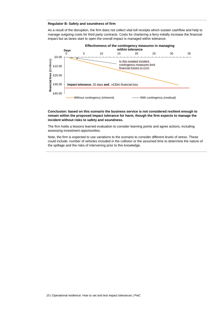#### **Regulator B: Safety and soundness of firm**

As a result of the disruption, the firm does not collect vital toll receipts which sustain cashflow and help to manage outgoing costs for third party contracts. Costs for chartering a ferry initially increase the financial impact but as lanes start to open the overall impact is managed within tolerance.



#### **Conclusion: based on this scenario the business service is not considered resilient enough to remain within the proposed impact tolerance for harm, though the firm expects to manage the incident without risks to safety and soundness.**

The firm holds a lessons learned evaluation to consider learning points and agree actions, including assessing investment opportunities.

Note, the firm is expected to use variations to the scenario to consider different levels of stress. These could include: number of vehicles included in the collision or the assumed time to determine the nature of the spillage and the risks of intervening prior to this knowledge.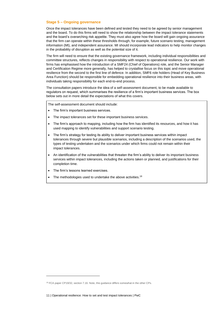#### <span id="page-12-0"></span>**Stage 5 – Ongoing governance**

Once the impact tolerances have been defined and tested they need to be agreed by senior management and the board. To do this firms will need to show the relationship between the impact tolerance statements and the board's overarching risk appetite. They must also agree how the board will gain ongoing assurance that the firm can operate within these thresholds through, for example, future scenario testing, management information (MI), and independent assurance. MI should incorporate lead indicators to help monitor changes in the probability of disruption as well as the potential size of it.

The firm will need to ensure that the existing governance framework, including individual responsibilities and committee structures, reflects changes in responsibility with respect to operational resilience. Our work with firms has emphasised how the introduction of a SMF24 (Chief of Operations) role, and the Senior Manager and Certification Regime more generally, has helped to crystallise focus on this topic and move operational resilience from the second to the first line of defence. In addition, SMF6 role holders (Head of Key Business Area Function) should be responsible for embedding operational resilience into their business areas, with individuals taking responsibility for each end-to-end process.

The consultation papers introduce the idea of a self-assessment document, to be made available to regulators on request, which summarises the resilience of a firm's important business services. The box below sets out in more detail the expectations of what this covers.

The self-assessment document should include:

- The firm's important business services.
- The impact tolerances set for these important business services.
- The firm's approach to mapping, including how the firm has identified its resources, and how it has used mapping to identify vulnerabilities and support scenario testing.
- The firm's strategy for testing its ability to deliver important business services within impact tolerances through severe but plausible scenarios, including a description of the scenarios used, the types of testing undertaken and the scenarios under which firms could not remain within their impact tolerances.
- An identification of the vulnerabilities that threaten the firm's ability to deliver its important business services within impact tolerances, including the actions taken or planned, and justifications for their completion time.
- The firm's lessons learned exercises.
- The methodologies used to undertake the above activities.<sup>18</sup>

-

<sup>&</sup>lt;sup>18</sup> FCA paper CP19/32, section 7.16. Note, this quidance differs somewhat in the other CPs.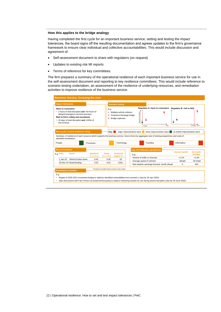#### **How this applies to the bridge analogy**

Having completed the first cycle for an important business service, setting and testing the impact tolerances, the board signs off the resulting documentation and agrees updates to the firm's governance framework to ensure clear individual and collective accountabilities. This would include discussion and agreement of:

- Self-assessment document to share with regulators (on request)
- Updates to existing risk MI reports
- Terms of reference for key committees.

The firm prepares a summary of the operational resilience of each important business service for use in the self-assessment document and reporting to key resilience committees. This would include reference to scenario testing undertaken, an assessment of the resilience of underlying resources, and remediation activities to improve resilience of the business service.

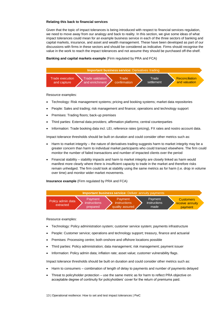#### **Relating this back to financial services**

Given that the topic of impact tolerances is being introduced with respect to financial services regulation, we need to move away from our analogy and back to reality. In this section, we give some ideas of what impact tolerances could mean for an example business service in each of the three sectors of banking and capital markets, insurance, and asset and wealth management. These have been developed as part of our discussions with firms in these sectors and should be considered as indicative. Firms should recognise the value in the work to reach the impact tolerances and not assume they should be purchased off-the-shelf.

#### **Banking and capital markets example** (Firm regulated by PRA and FCA)



Resource examples:

- Technology: Risk management systems; pricing and booking systems; market data repositories
- People: Sales and trading; risk management and finance; operations and technology support
- Premises: Trading floors; back-up premises
- Third parties: External data providers; affirmation platforms; central counterparties
- Information: Trade booking data incl. LEI, reference rates (pricing), FX rates and nostro account data.

Impact tolerance thresholds should be built on duration and could consider other metrics such as:

- Harm to market integrity the nature of derivatives trading suggests harm to market integrity may be a greater concern than harm to individual market participants who could transact elsewhere. The firm could monitor the number of failed transactions and number of impacted clients over the period
- Financial stability stability impacts and harm to market integrity are closely linked as harm would manifest more clearly where there is insufficient capacity to trade in the market and therefore risks remain unhedged. The firm could look at stability using the same metrics as for harm (i.e. drop in volume over time) and monitor wider market movements.

**Insurance example** (Firm regulated by PRA and FCA)



Resource examples:

- Technology: Policy administration system; customer service system; payments infrastructure
- People: Customer service; operations and technology support; treasury, finance and actuarial
- Premises: Processing centre; both onshore and offshore locations possible
- Third parties: Policy administration; data management; risk management; payment issuer
- Information: Policy admin data; inflation rate; asset value; customer vulnerability flags.

Impact tolerance thresholds should be built on duration and could consider other metrics such as:

- Harm to consumers combination of length of delay to payments and number of payments delayed
- Threat to policyholder protection use the same metric as for harm to reflect PRA objective on acceptable degree of continuity for policyholders' cover for the return of premiums paid.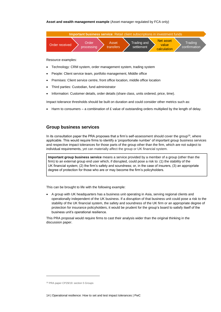#### **Asset and wealth management example** (Asset manager regulated by FCA only)



Resource examples:

- Technology: CRM system, order management system, trading system
- People: Client service team, portfolio management, Middle office
- Premises: Client service centre, front office location, middle office location
- Third parties: Custodian, fund administrator
- Information: Customer details, order details (share class, units ordered, price, time).

Impact tolerance thresholds should be built on duration and could consider other metrics such as:

Harm to consumers – a combination of  $E$  value of outstanding orders multiplied by the length of delay.

#### <span id="page-15-0"></span>**Group business services**

In its consultation paper the PRA proposes that a firm's self-assessment should cover the group<sup>19</sup>, where applicable. This would require firms to identify a 'proportionate number' of important group business services and respective impact tolerances for those parts of the group other than the firm, which are not subject to individual requirements, yet can materially affect the group or UK financial system.

**Important group business service** means a service provided by a member of a group (other than the firm) to an external group end user which, if disrupted, could pose a risk to: (1) the stability of the UK financial system; (2) the firm's safety and soundness; or, in the case of insurers, (3) an appropriate degree of protection for those who are or may become the firm's policyholders.

This can be brought to life with the following example:

• A group with UK headquarters has a business unit operating in Asia, serving regional clients and operationally independent of the UK business. If a disruption of that business unit could pose a risk to the stability of the UK financial system, the safety and soundness of the UK firm or an appropriate degree of protection for insurance policyholders, it would be prudent for the group's board to satisfy itself of the business unit's operational resilience.

This PRA proposal would require firms to cast their analysis wider than the original thinking in the discussion paper.

-

<sup>19</sup> PRA paper CP29/19: section 5 Groups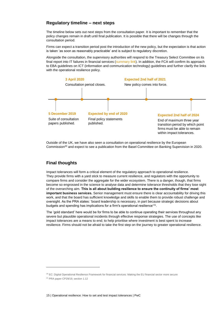### <span id="page-16-0"></span>**Regulatory timeline – next steps**

The timeline below sets out next steps from the consultation paper. It is important to remember that the policy changes remain in draft until final publication. It is possible that there will be changes through the consultation period.

Firms can expect a transition period post the introduction of the new policy, but the expectation is that action is taken 'as soon as reasonably practicable' and is subject to regulatory discretion.

Alongside the consultation, the supervisory authorities will respond to the Treasury Select Committee on its final report into IT failures in financial services [\(summary link\)](https://pwc.blogs.com/fsrr/2019/10/parliament-raises-the-bar-on-operational-resilience.html). In addition, the FCA will confirm its approach to EBA guidelines on ICT (information and communication technology) guidelines and further clarify the links with the operational resilience policy.



Outside of the UK, we have also seen a consultation on operational resilience by the European Commission<sup>20</sup> and expect to see a publication from the Basel Committee on Banking Supervision in 2020.

# <span id="page-16-1"></span>**Final thoughts**

Impact tolerances will form a critical element of the regulatory approach to operational resilience. They provide firms with a yard stick to measure current resilience, and regulators with the opportunity to compare firms and consider the aggregate for the wider ecosystem. There is a danger, though, that firms become so engrossed in the science to analyse data and determine tolerance thresholds that they lose sight of the overarching aim. **This is all about building resilience to ensure the continuity of firms' most important business services.** Senior management must ensure there is clear accountability for driving this work, and that the board has sufficient knowledge and skills to enable them to provide robust challenge and oversight. As the PRA states: 'board leadership is necessary, in part because strategic decisions about budgets and spending has implications for a firm's operational resilience'<sup>21</sup>.

The 'gold standard' here would be for firms to be able to continue operating their services throughout any severe but plausible operational incidents through effective response strategies. The use of concepts like impact tolerances are a means to end; to help prioritise where investment is best spent to increase resilience. Firms should not be afraid to take the first step on the journey to greater operational resilience.

<sup>&</sup>lt;sup>20</sup> EC: Digital Operational Resilience Framework for financial services: Making the EU financial sector more secure

<sup>21</sup> PRA paper CP29/19, section 1.12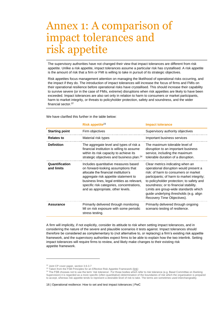# <span id="page-17-0"></span>Annex 1: A comparison of impact tolerances and risk appetite

The supervisory authorities have not changed their view that impact tolerances are different from risk appetite. Unlike a risk appetite, impact tolerances assume a particular risk has crystallised. A risk appetite is the amount of risk that a firm or FMI is willing to take in pursuit of its strategic objectives.

Risk appetites focus management attention on managing the likelihood of operational risks occurring, and the impact if they do. The introduction of impact tolerances will increase the focus of firms and FMIs on their operational resilience before operational risks have crystallised. This should increase their capability to survive severe (or in the case of FMIs, extreme) disruptions when risk appetites are likely to have been exceeded. Impact tolerances are also set only in relation to harm to consumers or market participants, harm to market integrity, or threats to policyholder protection, safety and soundness, and the wider financial sector. *22*

We have clarified this further in the table below:

|                              | Risk appetite <sup>23</sup>                                                                                                                                                                                                                                                                  | <b>Impact tolerance</b>                                                                                                                                                                                                                                                                                                                                                  |
|------------------------------|----------------------------------------------------------------------------------------------------------------------------------------------------------------------------------------------------------------------------------------------------------------------------------------------|--------------------------------------------------------------------------------------------------------------------------------------------------------------------------------------------------------------------------------------------------------------------------------------------------------------------------------------------------------------------------|
| <b>Starting point</b>        | Firm objectives                                                                                                                                                                                                                                                                              | Supervisory authority objectives                                                                                                                                                                                                                                                                                                                                         |
| <b>Relates to</b>            | Material risk types                                                                                                                                                                                                                                                                          | Important business services                                                                                                                                                                                                                                                                                                                                              |
| <b>Definition</b>            | The aggregate level and types of risk a<br>financial institution is willing to assume<br>within its risk capacity to achieve its<br>strategic objectives and business plan. <sup>24</sup>                                                                                                    | The maximum tolerable level of<br>disruption to an important business<br>service, including the maximum<br>tolerable duration of a disruption.                                                                                                                                                                                                                           |
| Quantification<br>and limits | Includes quantitative measures based<br>on forward-looking assumptions that<br>allocate the financial institution's<br>aggregate risk appetite statement to<br>business lines, legal entities as relevant,<br>specific risk categories, concentrations,<br>and as appropriate, other levels. | Clear metrics indicating when an<br>operational disruption would present a<br>risk: of harm to consumers or market<br>participants; of harm to market integrity;<br>to policyholder protection; to safety and<br>soundness; or to financial stability.<br>Limits are group-wide standards which<br>guide underlying thresholds (e.g. align<br>Recovery Time Objectives). |
| Assurance                    | Primarily delivered through monitoring<br>MI on risk exposure with some periodic<br>stress testing.                                                                                                                                                                                          | Primarily delivered through ongoing<br>scenario testing of resilience.                                                                                                                                                                                                                                                                                                   |

A firm will implicitly, if not explicitly, consider its attitude to risk when setting impact tolerances, and in considering the nature of the severe and plausible scenarios it tests against. Impact tolerances should therefore be considered as complementary to (not alternative to, or replacing) a firm's existing risk appetite framework, and the supervisory authorities expect firms to be able to explain how the two interlink. Setting impact tolerances will require firms to review, and likely make changes to their existing risk appetite framework.

-

<sup>22</sup> Joint CP cover paper, section 3.6-3.7

<sup>&</sup>lt;sup>23</sup> Taken from the FSB Principles for an Effective Risk Appetite Framework [\(link\)](https://www.fsb.org/wp-content/uploads/r_131118.pdf)

 $^{24}$  The FSB chooses not to use the term 'risk tolerance'. For those bodies which refer to risk tolerance (e.g. Basel Committee on Banking Supervision) it is regarded as a more specific (often quantitative) determination of the boundaries of risk which the organisation is prepared to accept, whereas risk appetite tends to represent a desirable level of risk to take. The terms are sometimes used interchangeably.

<sup>16</sup> | Operational resilience: How to set and test impact tolerances | PwC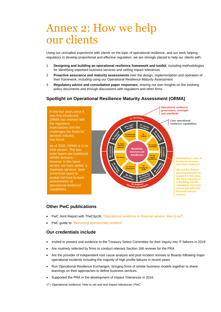# <span id="page-18-0"></span>Annex 2: How we help our clients

Using our unrivalled experience with clients on the topic of operational resilience, and our work helping regulators to develop proportional and effective regulation, we are strongly placed to help our clients with:

- 1 **Designing and building an operational resilience framework and toolkit**, including methodologies for identifying important business services and setting impact tolerances
- 2 **Proactive assurance and maturity assessments** over the design, implementation and operation of their framework, including using our Operational Resilience Maturity Assessment
- 3 **Regulatory advice and consultation paper responses**, sharing our own insights on the evolving policy documents and through discussions with regulators and other firms.

# **Spotlight on Operational Resilience Maturity Assessment (ORMA)**



## **Other PwC publications**

- PwC Joint Report with TheCityUK: ['Operational resilience in financial service: time to act'.](file:///C:/Users/1730160/AppData/Roaming/Microsoft/Word/‘Operational%20resilience%20in%20financial%20service:%20time%20to%20act’)
- PwC guide to: ['Becoming operationally resilient'.](https://www.pwc.co.uk/financial-services/assets/pdf/becoming-operationally-resilient.pdf)

## **Our credentials include**

- Invited to present oral evidence to the Treasury Select Committee for their inquiry into IT failures in 2019
- Are routinely selected by firms to conduct relevant Section 166 reviews for the PRA
- Are the provider of independent root cause analysis and post incident reviews to Boards following major operational incidents including the majority of high profile failures in recent years
- Run Operational Resilience Exchanges, bringing firms of similar business models together to share learnings on their approaches to define business services
- Supported the PRA in the development of Impact Tolerances in 2016.
- 17 | Operational resilience: How to set and test impact tolerances | PwC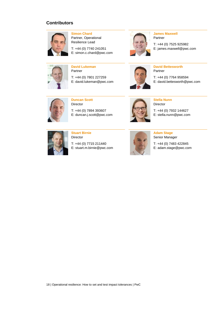# **Contributors**



**Simon Chard** Partner, Operational Resilience Lead

T: +44 (0) 7740 241051 E: simon.c.chard@pwc.com



#### **James Maxwell** Partner

T: +44 (0) 7525 925982 E: james.maxwell@pwc.com



**David Lukeman** Partner

T: +44 (0) 7801 227259 E: david.lukeman@pwc.com



**David Bettesworth** Partner

T: +44 (0) 7764 958594 E: david.bettesworth@pwc.com



**Duncan Scott** Director

T: +44 (0) 7894 393607 E: duncan.j.scott@pwc.com



**Stella Nunn** Director

T: +44 (0) 7932 144627 E: stella.nunn@pwc.com



**Stuart Birnie** Director

T: +44 (0) 7715 211440 E: stuart.m.birnie@pwc.com



**Adam Stage** Senior Manager

T: +44 (0) 7483 422845 E: adam.stage@pwc.com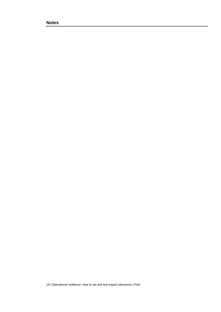**Notes**

19 | Operational resilience: How to set and test impact tolerances | PwC